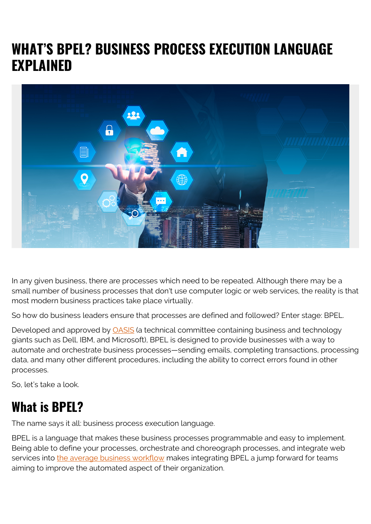# **WHAT'S BPEL? BUSINESS PROCESS EXECUTION LANGUAGE EXPLAINED**



In any given business, there are processes which need to be repeated. Although there may be a small number of business processes that don't use computer logic or web services, the reality is that most modern business practices take place virtually.

So how do business leaders ensure that processes are defined and followed? Enter stage: BPEL.

Developed and approved by **OASIS** (a technical committee containing business and technology giants such as Dell, IBM, and Microsoft), BPEL is designed to provide businesses with a way to automate and orchestrate business processes—sending emails, completing transactions, processing data, and many other different procedures, including the ability to correct errors found in other processes.

So, let's take a look.

### **What is BPEL?**

The name says it all: business process execution language.

BPEL is a language that makes these business processes programmable and easy to implement. Being able to define your processes, orchestrate and choreograph processes, and integrate web services into [the average business workflow](https://blogs.bmc.com/blogs/awo-implementation-best-practices/) makes integrating BPEL a jump forward for teams aiming to improve the automated aspect of their organization.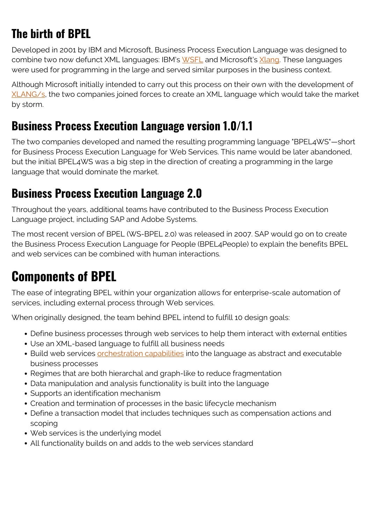# **The birth of BPEL**

Developed in 2001 by IBM and Microsoft, Business Process Execution Language was designed to combine two now defunct XML languages: IBM's [WSFL](https://xml.coverpages.org/WSFL-Guide-200110.pdf) and Microsoft's [Xlang](https://github.com/Microsoft/xlang). These languages were used for programming in the large and served similar purposes in the business context.

Although Microsoft initially intended to carry out this process on their own with the development of [XLANG/s](https://docs.microsoft.com/en-us/biztalk/core/xlang-s-language), the two companies joined forces to create an XML language which would take the market by storm.

#### **Business Process Execution Language version 1.0/1.1**

The two companies developed and named the resulting programming language "BPEL4WS"—short for Business Process Execution Language for Web Services. This name would be later abandoned, but the initial BPEL4WS was a big step in the direction of creating a programming in the large language that would dominate the market.

### **Business Process Execution Language 2.0**

Throughout the years, additional teams have contributed to the Business Process Execution Language project, including SAP and Adobe Systems.

The most recent version of BPEL (WS-BPEL 2.0) was released in 2007. SAP would go on to create the Business Process Execution Language for People (BPEL4People) to explain the benefits BPEL and web services can be combined with human interactions.

# **Components of BPEL**

The ease of integrating BPEL within your organization allows for enterprise-scale automation of services, including external process through Web services.

When originally designed, the team behind BPEL intend to fulfill 10 design goals:

- Define business processes through web services to help them interact with external entities
- Use an XML-based language to fulfill all business needs
- Build web services [orchestration capabilities](https://blogs.bmc.com/blogs/autonomous-data-and-application-workflow-orchestration/) into the language as abstract and executable business processes
- Regimes that are both hierarchal and graph-like to reduce fragmentation
- Data manipulation and analysis functionality is built into the language
- Supports an identification mechanism
- Creation and termination of processes in the basic lifecycle mechanism
- Define a transaction model that includes techniques such as compensation actions and scoping
- Web services is the underlying model
- All functionality builds on and adds to the web services standard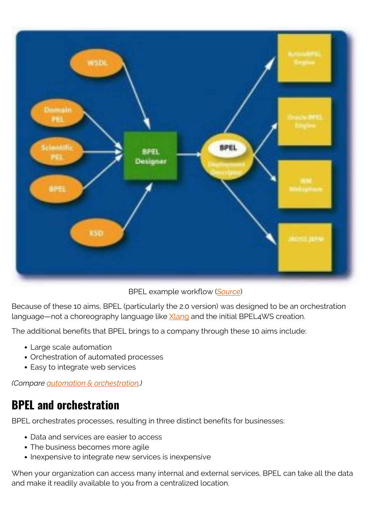

BPEL example workflow (*[Source](http://sse.cs.ucl.ac.uk/omii-bpel/docs/architecture.html)*)

Because of these 10 aims, BPEL (particularly the 2.0 version) was designed to be an orchestration language—not a choreography language like [Xlang](https://github.com/Microsoft/xlang) and the initial BPEL4WS creation.

The additional benefits that BPEL brings to a company through these 10 aims include:

- Large scale automation
- Orchestration of automated processes
- Easy to integrate web services

*(Compare [automation & orchestration.](https://blogs.bmc.com/blogs/it-orchestration-vs-automation-whats-the-difference/))*

#### **BPEL and orchestration**

BPEL orchestrates processes, resulting in three distinct benefits for businesses:

- Data and services are easier to access
- The business becomes more agile
- Inexpensive to integrate new services is inexpensive

When your organization can access many internal and external services, BPEL can take all the data and make it readily available to you from a centralized location.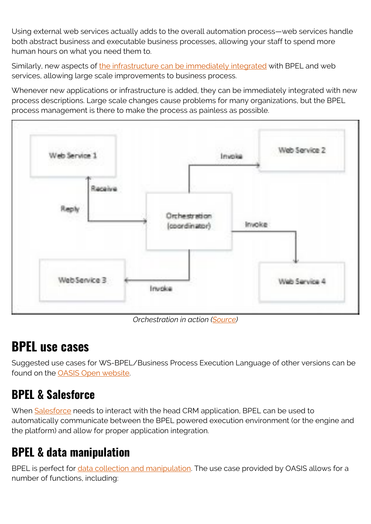Using external web services actually adds to the overall automation process—web services handle both abstract business and executable business processes, allowing your staff to spend more human hours on what you need them to.

Similarly, new aspects of [the infrastructure can be immediately integrated](https://blogs.bmc.com/blogs/it-infrastructure-automation/) with BPEL and web services, allowing large scale improvements to business process.

Whenever new applications or infrastructure is added, they can be immediately integrated with new process descriptions. Large scale changes cause problems for many organizations, but the BPEL process management is there to make the process as painless as possible.



*Orchestration in action [\(Source\)](https://www.tutorialspoint.com/bpel/bpel_introduction.htm)*

## **BPEL use cases**

Suggested use cases for WS-BPEL/Business Process Execution Language of other versions can be found on the [OASIS Open website.](https://www.oasis-open.org/committees/tc_home.php?wg_abbrev=wsbpel-uc)

### **BPEL & Salesforce**

When [Salesforce](https://www.salesforce.com/) needs to interact with the head CRM application, BPEL can be used to automatically communicate between the BPEL powered execution environment (or the engine and the platform) and allow for proper application integration.

### **BPEL & data manipulation**

BPEL is perfect for [data collection and manipulation](https://blogs.bmc.com/blogs/data-normalization/). The use case provided by OASIS allows for a number of functions, including: